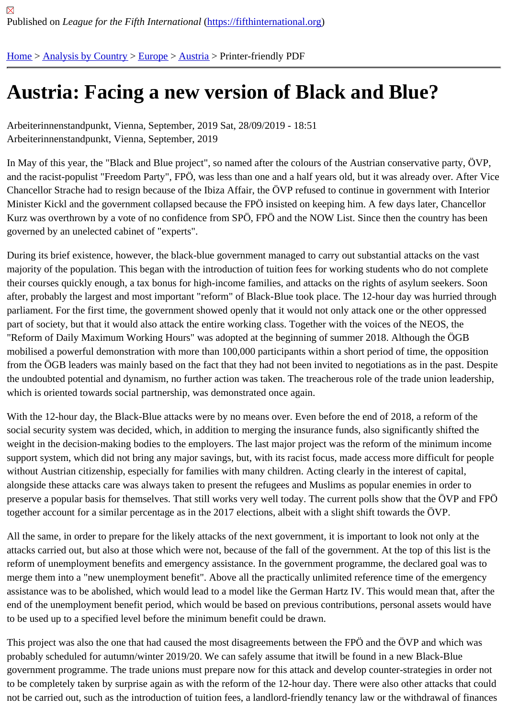## [Au](https://fifthinternational.org/)s[tria: Facin](https://fifthinternational.org/category/1)[g a n](https://fifthinternational.org/category/1/128)[ew](https://fifthinternational.org/category/1/128/132) version of Black and Blue?

Arbeiterinnenstandpunkt, Vienna, September, 2019 Sat, 28/09/2019 - 18:51 Arbeiterinnenstandpunkt, Vienna, September, 2019

In May of this year, the "Black and Blue project", so named after the colours of the Austrian conservative party, O\ and the racist-populist "Freedom Party", FPÖ, was less than one and a half years old, but it was already over. Afte Chancellor Strache had to resign because of the Ibiza Affair, the ÖVP refused to continue in government with Inter Minister Kickl and the government collapsed because the FPÖ insisted on keeping him. A few days later, Chancel Kurz was overthrown by a vote of no confidence from SPÖ, FPÖ and the NOW List. Since then the country has be governed by an unelected cabinet of "experts".

During its brief existence, however, the black-blue government managed to carry out substantial attacks on the va majority of the population. This began with the introduction of tuition fees for working students who do not complet their courses quickly enough, a tax bonus for high-income families, and attacks on the rights of asylum seekers. S after, probably the largest and most important "reform" of Black-Blue took place. The 12-hour day was hurried thro parliament. For the first time, the government showed openly that it would not only attack one or the other oppress part of society, but that it would also attack the entire working class. Together with the voices of the NEOS, the "Reform of Daily Maximum Working Hours" was adopted at the beginning of summer 2018. Although the ÖGB mobilised a powerful demonstration with more than 100,000 participants within a short period of time, the oppositio from the OGB leaders was mainly based on the fact that they had not been invited to negotiations as in the past. D the undoubted potential and dynamism, no further action was taken. The treacherous role of the trade union leade which is oriented towards social partnership, was demonstrated once again.

With the 12-hour day, the Black-Blue attacks were by no means over. Even before the end of 2018, a reform of the social security system was decided, which, in addition to merging the insurance funds, also significantly shifted the weight in the decision-making bodies to the employers. The last major project was the reform of the minimum inco support system, which did not bring any major savings, but, with its racist focus, made access more difficult for peo without Austrian citizenship, especially for families with many children. Acting clearly in the interest of capital, alongside these attacks care was always taken to present the refugees and Muslims as popular enemies in order t preserve a popular basis for themselves. That still works very well today. The current polls show that the ÖVP and together account for a similar percentage as in the 2017 elections, albeit with a slight shift towards the ÖVP.

All the same, in order to prepare for the likely attacks of the next government, it is important to look not only at the attacks carried out, but also at those which were not, because of the fall of the government. At the top of this list is reform of unemployment benefits and emergency assistance. In the government programme, the declared goal was merge them into a "new unemployment benefit". Above all the practically unlimited reference time of the emergency assistance was to be abolished, which would lead to a model like the German Hartz IV. This would mean that, afte end of the unemployment benefit period, which would be based on previous contributions, personal assets would l to be used up to a specified level before the minimum benefit could be drawn.

This project was also the one that had caused the most disagreements between the FPÖ and the ÖVP and which probably scheduled for autumn/winter 2019/20. We can safely assume that itwill be found in a new Black-Blue government programme. The trade unions must prepare now for this attack and develop counter-strategies in orde to be completely taken by surprise again as with the reform of the 12-hour day. There were also other attacks that not be carried out, such as the introduction of tuition fees, a landlord-friendly tenancy law or the withdrawal of finar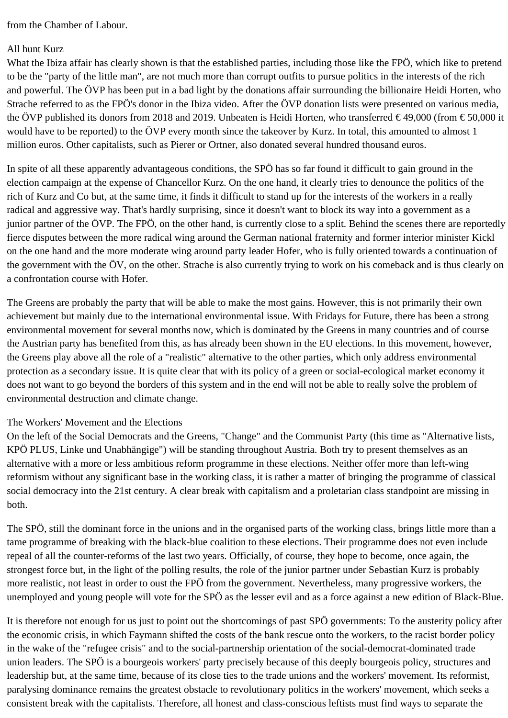from the Chamber of Labour.

## All hunt Kurz

What the Ibiza affair has clearly shown is that the established parties, including those like the FPÖ, which like to pretend to be the "party of the little man", are not much more than corrupt outfits to pursue politics in the interests of the rich and powerful. The ÖVP has been put in a bad light by the donations affair surrounding the billionaire Heidi Horten, who Strache referred to as the FPÖ's donor in the Ibiza video. After the ÖVP donation lists were presented on various media, the ÖVP published its donors from 2018 and 2019. Unbeaten is Heidi Horten, who transferred  $\in$  49,000 (from  $\in$  50,000 it would have to be reported) to the ÖVP every month since the takeover by Kurz. In total, this amounted to almost 1 million euros. Other capitalists, such as Pierer or Ortner, also donated several hundred thousand euros.

In spite of all these apparently advantageous conditions, the SPÖ has so far found it difficult to gain ground in the election campaign at the expense of Chancellor Kurz. On the one hand, it clearly tries to denounce the politics of the rich of Kurz and Co but, at the same time, it finds it difficult to stand up for the interests of the workers in a really radical and aggressive way. That's hardly surprising, since it doesn't want to block its way into a government as a junior partner of the ÖVP. The FPÖ, on the other hand, is currently close to a split. Behind the scenes there are reportedly fierce disputes between the more radical wing around the German national fraternity and former interior minister Kickl on the one hand and the more moderate wing around party leader Hofer, who is fully oriented towards a continuation of the government with the ÖV, on the other. Strache is also currently trying to work on his comeback and is thus clearly on a confrontation course with Hofer.

The Greens are probably the party that will be able to make the most gains. However, this is not primarily their own achievement but mainly due to the international environmental issue. With Fridays for Future, there has been a strong environmental movement for several months now, which is dominated by the Greens in many countries and of course the Austrian party has benefited from this, as has already been shown in the EU elections. In this movement, however, the Greens play above all the role of a "realistic" alternative to the other parties, which only address environmental protection as a secondary issue. It is quite clear that with its policy of a green or social-ecological market economy it does not want to go beyond the borders of this system and in the end will not be able to really solve the problem of environmental destruction and climate change.

## The Workers' Movement and the Elections

On the left of the Social Democrats and the Greens, "Change" and the Communist Party (this time as "Alternative lists, KPÖ PLUS, Linke und Unabhängige") will be standing throughout Austria. Both try to present themselves as an alternative with a more or less ambitious reform programme in these elections. Neither offer more than left-wing reformism without any significant base in the working class, it is rather a matter of bringing the programme of classical social democracy into the 21st century. A clear break with capitalism and a proletarian class standpoint are missing in both.

The SPÖ, still the dominant force in the unions and in the organised parts of the working class, brings little more than a tame programme of breaking with the black-blue coalition to these elections. Their programme does not even include repeal of all the counter-reforms of the last two years. Officially, of course, they hope to become, once again, the strongest force but, in the light of the polling results, the role of the junior partner under Sebastian Kurz is probably more realistic, not least in order to oust the FPÖ from the government. Nevertheless, many progressive workers, the unemployed and young people will vote for the SPÖ as the lesser evil and as a force against a new edition of Black-Blue.

It is therefore not enough for us just to point out the shortcomings of past SPÖ governments: To the austerity policy after the economic crisis, in which Faymann shifted the costs of the bank rescue onto the workers, to the racist border policy in the wake of the "refugee crisis" and to the social-partnership orientation of the social-democrat-dominated trade union leaders. The SPÖ is a bourgeois workers' party precisely because of this deeply bourgeois policy, structures and leadership but, at the same time, because of its close ties to the trade unions and the workers' movement. Its reformist, paralysing dominance remains the greatest obstacle to revolutionary politics in the workers' movement, which seeks a consistent break with the capitalists. Therefore, all honest and class-conscious leftists must find ways to separate the